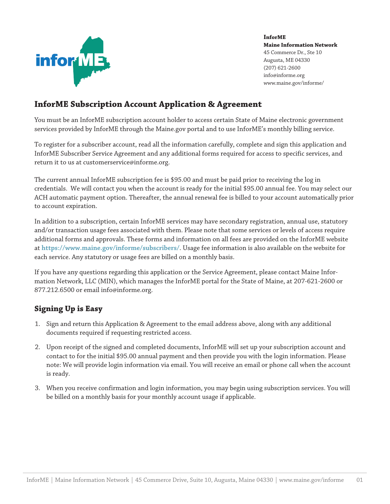

# **InforME Subscription Account Application & Agreement**

You must be an InforME subscription account holder to access certain State of Maine electronic government services provided by InforME through the Maine.gov portal and to use InforME's monthly billing service.

To register for a subscriber account, read all the information carefully, complete and sign this application and InforME Subscriber Service Agreement and any additional forms required for access to specific services, and return it to us at customerservice@informe.org.

The current annual InforME subscription fee is \$95.00 and must be paid prior to receiving the log in credentials. We will contact you when the account is ready for the initial \$95.00 annual fee. You may select our ACH automatic payment option. Thereafter, the annual renewal fee is billed to your account automatically prior to account expiration.

In addition to a subscription, certain InforME services may have secondary registration, annual use, statutory and/or transaction usage fees associated with them. Please note that some services or levels of access require additional forms and approvals. These forms and information on all fees are provided on the InforME website at **https[://www.maine.gov/informe/subscribers/](https://www.maine.gov/informe/subscribers/)**. Usage fee information is also available on the website for each service. Any statutory or usage fees are billed on a monthly basis.

If you have any questions regarding this application or the Service Agreement, please contact Maine Information Network, LLC (MIN), which manages the InforME portal for the State of Maine, at 207-621-2600 or 877.212.6500 or email info@informe.org.

## **Signing Up is Easy**

- 1. Sign and return this Application & Agreement to the email address above, along with any additional documents required if requesting restricted access.
- 2. Upon receipt of the signed and completed documents, InforME will set up your subscription account and contact to for the initial \$95.00 annual payment and then provide you with the login information. Please note: We will provide login information via email. You will receive an email or phone call when the account is ready.
- 3. When you receive confirmation and login information, you may begin using subscription services. You will be billed on a monthly basis for your monthly account usage if applicable.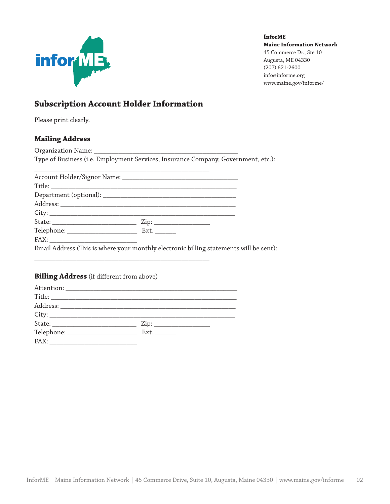

# **Subscription Account Holder Information**

Please print clearly.

## **Mailing Address**

Organization Name: Type of Business (i.e. Employment Services, Insurance Company, Government, etc.):

Email Address (This is where your monthly electronic billing statements will be sent):

# **Billing Address** (if different from above)

\_\_\_\_\_\_\_\_\_\_\_\_\_\_\_\_\_\_\_\_\_\_\_\_\_\_\_\_\_\_\_\_\_\_\_\_\_\_\_\_\_\_\_\_\_\_\_\_\_\_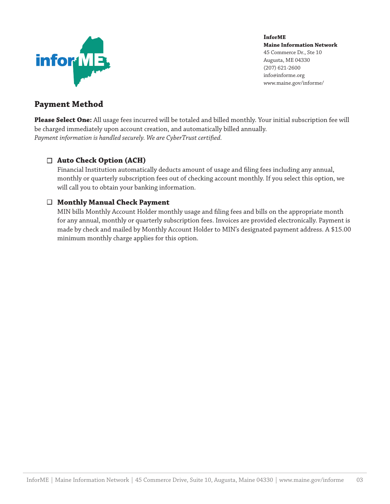

## **Payment Method**

**Please Select One:** All usage fees incurred will be totaled and billed monthly. Your initial subscription fee will be charged immediately upon account creation, and automatically billed annually. *Payment information is handled securely. We are CyberTrust certified.*

## **Auto Check Option (ACH)**

Financial Institution automatically deducts amount of usage and filing fees including any annual, monthly or quarterly subscription fees out of checking account monthly. If you select this option, we will call you to obtain your banking information.

### **Monthly Manual Check Payment**

MIN bills Monthly Account Holder monthly usage and filing fees and bills on the appropriate month for any annual, monthly or quarterly subscription fees. Invoices are provided electronically. Payment is made by check and mailed by Monthly Account Holder to MIN's designated payment address. A \$15.00 minimum monthly charge applies for this option.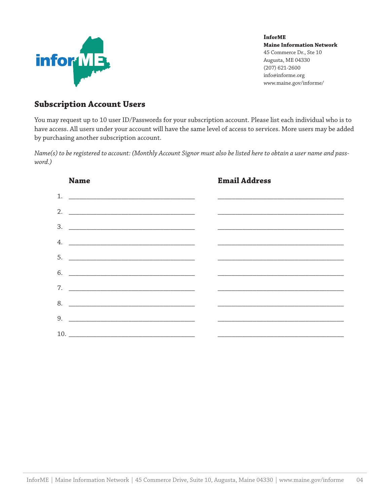

## **Subscription Account Users**

You may request up to 10 user ID/Passwords for your subscription account. Please list each individual who is to have access. All users under your account will have the same level of access to services. More users may be added by purchasing another subscription account.

*Name(s) to be registered to account: (Monthly Account Signor must also be listed here to obtain a user name and password.)*

| <b>Name</b>                 | <b>Email Address</b> |  |
|-----------------------------|----------------------|--|
| 1. $\overline{\phantom{a}}$ |                      |  |
| 2. $\qquad \qquad$          |                      |  |
|                             |                      |  |
| 4. $\overline{\phantom{a}}$ |                      |  |
|                             |                      |  |
| $6.$ $\qquad \qquad$        |                      |  |
|                             |                      |  |
| 8.                          |                      |  |
|                             |                      |  |
|                             |                      |  |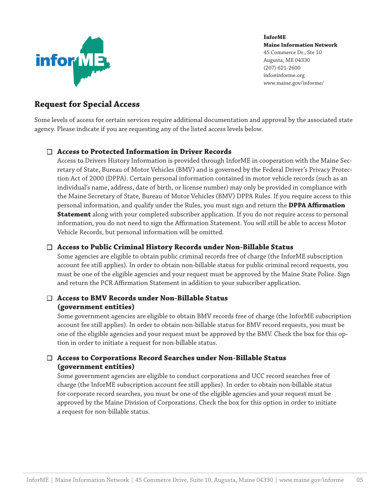

# **Request for Special Access**

Some levels of access for certain services require additional documentation and approval by the associated state agency. Please indicate if you are requesting any of the listed access levels below.

## **Access to Protected Information in Driver Records**

Access to Drivers History Information is provided through InforME in cooperation with the Maine Secretary of State, Bureau of Motor Vehicles (BMV) and is governed by the Federal Driver's Privacy Protection Act of 2000 (DPPA). Certain personal information contained in motor vehicle records (such as an individual's name, address, date of birth, or license number) may only be provided in compliance with the Maine Secretary of State, Bureau of Motor Vehicles (BMV) DPPA Rules. If you require access to this personal information, and qualify under the Rules, you must sign and return the **DPPA Affirmation Statement** along with your completed subscriber application. If you do not require access to personal information, you do not need to sign the Affirmation Statement. You will still be able to access Motor Vehicle Records, but personal information will be omitted.

## **Access to Public Criminal History Records under Non-Billable Status**

Some agencies are eligible to obtain public criminal records free of charge (the InforME subscription account fee still applies). In order to obtain non-billable status for public criminal record requests, you must be one of the eligible agencies and your request must be approved by the Maine State Police. Sign and return the PCR Affirmation Statement in addition to your subscriber application.

## **Access to BMV Records under Non-Billable Status (government entities)**

Some government agencies are eligible to obtain BMV records free of charge (the InforME subscription account fee still applies). In order to obtain non-billable status for BMV record requests, you must be one of the eligible agencies and your request must be approved by the BMV. Check the box for this option in order to initiate a request for non-billable status.

## **Access to Corporations Record Searches under Non-Billable Status (government entities)**

Some government agencies are eligible to conduct corporations and UCC record searches free of charge (the InforME subscription account fee still applies). In order to obtain non-billable status for corporate record searches, you must be one of the eligible agencies and your request must be approved by the Maine Division of Corporations. Check the box for this option in order to initiate a request for non-billable status.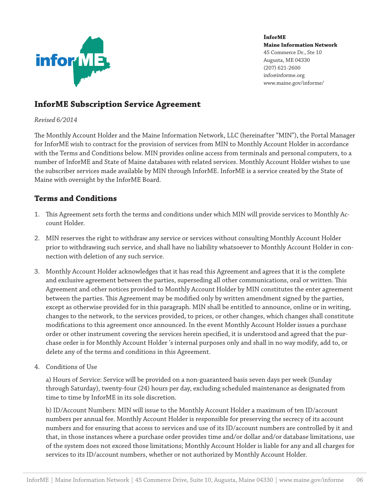

# **InforME Subscription Service Agreement**

#### *Revised 6/2014*

The Monthly Account Holder and the Maine Information Network, LLC (hereinafter "MIN"), the Portal Manager for InforME wish to contract for the provision of services from MIN to Monthly Account Holder in accordance with the Terms and Conditions below. MIN provides online access from terminals and personal computers, to a number of InforME and State of Maine databases with related services. Monthly Account Holder wishes to use the subscriber services made available by MIN through InforME. InforME is a service created by the State of Maine with oversight by the InforME Board.

## **Terms and Conditions**

- 1. This Agreement sets forth the terms and conditions under which MIN will provide services to Monthly Account Holder.
- 2. MIN reserves the right to withdraw any service or services without consulting Monthly Account Holder prior to withdrawing such service, and shall have no liability whatsoever to Monthly Account Holder in connection with deletion of any such service.
- 3. Monthly Account Holder acknowledges that it has read this Agreement and agrees that it is the complete and exclusive agreement between the parties, superseding all other communications, oral or written. This Agreement and other notices provided to Monthly Account Holder by MIN constitutes the enter agreement between the parties. This Agreement may be modified only by written amendment signed by the parties, except as otherwise provided for in this paragraph. MIN shall be entitled to announce, online or in writing, changes to the network, to the services provided, to prices, or other changes, which changes shall constitute modifications to this agreement once announced. In the event Monthly Account Holder issues a purchase order or other instrument covering the services herein specified, it is understood and agreed that the purchase order is for Monthly Account Holder 's internal purposes only and shall in no way modify, add to, or delete any of the terms and conditions in this Agreement.
- 4. Conditions of Use

a) Hours of Service: Service will be provided on a non-guaranteed basis seven days per week (Sunday through Saturday), twenty-four (24) hours per day, excluding scheduled maintenance as designated from time to time by InforME in its sole discretion.

b) ID/Account Numbers: MIN will issue to the Monthly Account Holder a maximum of ten ID/account numbers per annual fee. Monthly Account Holder is responsible for preserving the secrecy of its account numbers and for ensuring that access to services and use of its ID/account numbers are controlled by it and that, in those instances where a purchase order provides time and/or dollar and/or database limitations, use of the system does not exceed those limitations; Monthly Account Holder is liable for any and all charges for services to its ID/account numbers, whether or not authorized by Monthly Account Holder.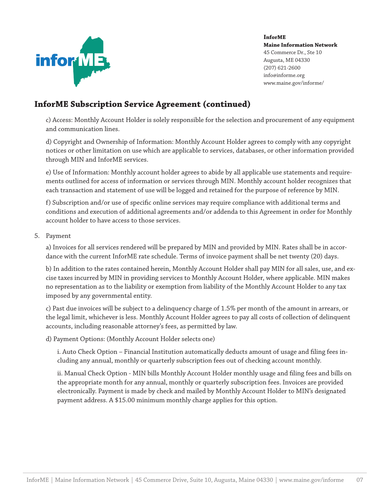

# **InforME Subscription Service Agreement (continued)**

c) Access: Monthly Account Holder is solely responsible for the selection and procurement of any equipment and communication lines.

d) Copyright and Ownership of Information: Monthly Account Holder agrees to comply with any copyright notices or other limitation on use which are applicable to services, databases, or other information provided through MIN and InforME services.

e) Use of Information: Monthly account holder agrees to abide by all applicable use statements and requirements outlined for access of information or services through MIN. Monthly account holder recognizes that each transaction and statement of use will be logged and retained for the purpose of reference by MIN.

f) Subscription and/or use of specific online services may require compliance with additional terms and conditions and execution of additional agreements and/or addenda to this Agreement in order for Monthly account holder to have access to those services.

#### 5. Payment

a) Invoices for all services rendered will be prepared by MIN and provided by MIN. Rates shall be in accordance with the current InforME rate schedule. Terms of invoice payment shall be net twenty (20) days.

b) In addition to the rates contained herein, Monthly Account Holder shall pay MIN for all sales, use, and excise taxes incurred by MIN in providing services to Monthly Account Holder, where applicable. MIN makes no representation as to the liability or exemption from liability of the Monthly Account Holder to any tax imposed by any governmental entity.

c) Past due invoices will be subject to a delinquency charge of 1.5% per month of the amount in arrears, or the legal limit, whichever is less. Monthly Account Holder agrees to pay all costs of collection of delinquent accounts, including reasonable attorney's fees, as permitted by law.

d) Payment Options: (Monthly Account Holder selects one)

i. Auto Check Option – Financial Institution automatically deducts amount of usage and filing fees including any annual, monthly or quarterly subscription fees out of checking account monthly.

ii. Manual Check Option - MIN bills Monthly Account Holder monthly usage and filing fees and bills on the appropriate month for any annual, monthly or quarterly subscription fees. Invoices are provided electronically. Payment is made by check and mailed by Monthly Account Holder to MIN's designated payment address. A \$15.00 minimum monthly charge applies for this option.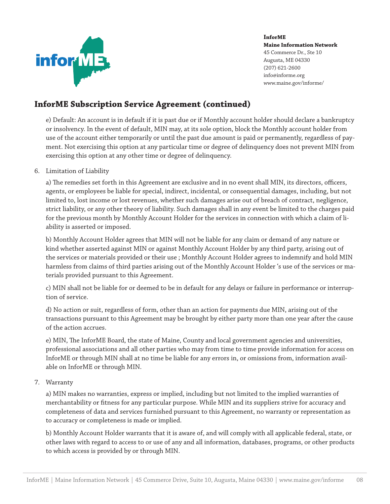

# **InforME Subscription Service Agreement (continued)**

e) Default: An account is in default if it is past due or if Monthly account holder should declare a bankruptcy or insolvency. In the event of default, MIN may, at its sole option, block the Monthly account holder from use of the account either temporarily or until the past due amount is paid or permanently, regardless of payment. Not exercising this option at any particular time or degree of delinquency does not prevent MIN from exercising this option at any other time or degree of delinquency.

#### 6. Limitation of Liability

a) The remedies set forth in this Agreement are exclusive and in no event shall MIN, its directors, officers, agents, or employees be liable for special, indirect, incidental, or consequential damages, including, but not limited to, lost income or lost revenues, whether such damages arise out of breach of contract, negligence, strict liability, or any other theory of liability. Such damages shall in any event be limited to the charges paid for the previous month by Monthly Account Holder for the services in connection with which a claim of liability is asserted or imposed.

b) Monthly Account Holder agrees that MIN will not be liable for any claim or demand of any nature or kind whether asserted against MIN or against Monthly Account Holder by any third party, arising out of the services or materials provided or their use ; Monthly Account Holder agrees to indemnify and hold MIN harmless from claims of third parties arising out of the Monthly Account Holder 's use of the services or materials provided pursuant to this Agreement.

c) MIN shall not be liable for or deemed to be in default for any delays or failure in performance or interruption of service.

d) No action or suit, regardless of form, other than an action for payments due MIN, arising out of the transactions pursuant to this Agreement may be brought by either party more than one year after the cause of the action accrues.

e) MIN, The InforME Board, the state of Maine, County and local government agencies and universities, professional associations and all other parties who may from time to time provide information for access on InforME or through MIN shall at no time be liable for any errors in, or omissions from, information available on InforME or through MIN.

7. Warranty

a) MIN makes no warranties, express or implied, including but not limited to the implied warranties of merchantability or fitness for any particular purpose. While MIN and its suppliers strive for accuracy and completeness of data and services furnished pursuant to this Agreement, no warranty or representation as to accuracy or completeness is made or implied.

b) Monthly Account Holder warrants that it is aware of, and will comply with all applicable federal, state, or other laws with regard to access to or use of any and all information, databases, programs, or other products to which access is provided by or through MIN.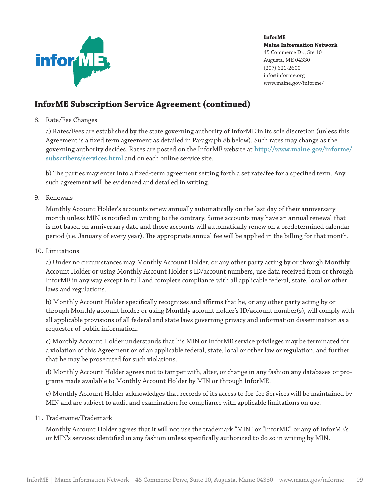

# **InforME Subscription Service Agreement (continued)**

8. Rate/Fee Changes

a) Rates/Fees are established by the state governing authority of InforME in its sole discretion (unless this Agreement is a fixed term agreement as detailed in Paragraph 8b below). Such rates may change as the governing authority decides. Rates are posted on the InforME website at **http://www.maine.gov/informe/ subscribers/services.html** and on each online service site.

b) The parties may enter into a fixed-term agreement setting forth a set rate/fee for a specified term. Any such agreement will be evidenced and detailed in writing.

9. Renewals

Monthly Account Holder's accounts renew annually automatically on the last day of their anniversary month unless MIN is notified in writing to the contrary. Some accounts may have an annual renewal that is not based on anniversary date and those accounts will automatically renew on a predetermined calendar period (i.e. January of every year). The appropriate annual fee will be applied in the billing for that month.

10. Limitations

a) Under no circumstances may Monthly Account Holder, or any other party acting by or through Monthly Account Holder or using Monthly Account Holder's ID/account numbers, use data received from or through InforME in any way except in full and complete compliance with all applicable federal, state, local or other laws and regulations.

b) Monthly Account Holder specifically recognizes and affirms that he, or any other party acting by or through Monthly account holder or using Monthly account holder's ID/account number(s), will comply with all applicable provisions of all federal and state laws governing privacy and information dissemination as a requestor of public information.

c) Monthly Account Holder understands that his MIN or InforME service privileges may be terminated for a violation of this Agreement or of an applicable federal, state, local or other law or regulation, and further that he may be prosecuted for such violations.

d) Monthly Account Holder agrees not to tamper with, alter, or change in any fashion any databases or programs made available to Monthly Account Holder by MIN or through InforME.

e) Monthly Account Holder acknowledges that records of its access to for-fee Services will be maintained by MIN and are subject to audit and examination for compliance with applicable limitations on use.

11. Tradename/Trademark

Monthly Account Holder agrees that it will not use the trademark "MIN" or "InforME" or any of InforME's or MIN's services identified in any fashion unless specifically authorized to do so in writing by MIN.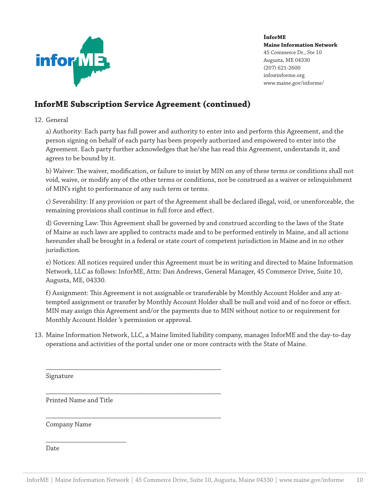

# **InforME Subscription Service Agreement (continued)**

\_\_\_\_\_\_\_\_\_\_\_\_\_\_\_\_\_\_\_\_\_\_\_\_\_\_\_\_\_\_\_\_\_\_\_\_\_\_\_\_\_\_\_\_\_\_\_\_\_\_

\_\_\_\_\_\_\_\_\_\_\_\_\_\_\_\_\_\_\_\_\_\_\_\_\_\_\_\_\_\_\_\_\_\_\_\_\_\_\_\_\_\_\_\_\_\_\_\_\_\_

\_\_\_\_\_\_\_\_\_\_\_\_\_\_\_\_\_\_\_\_\_\_\_\_\_\_\_\_\_\_\_\_\_\_\_\_\_\_\_\_\_\_\_\_\_\_\_\_\_\_

#### 12. General

a) Authority: Each party has full power and authority to enter into and perform this Agreement, and the person signing on behalf of each party has been properly authorized and empowered to enter into the Agreement. Each party further acknowledges that he/she has read this Agreement, understands it, and agrees to be bound by it.

b) Waiver: The waiver, modification, or failure to insist by MIN on any of these terms or conditions shall not void, waive, or modify any of the other terms or conditions, nor be construed as a waiver or relinquishment of MIN's right to performance of any such term or terms.

c) Severability: If any provision or part of the Agreement shall be declared illegal, void, or unenforceable, the remaining provisions shall continue in full force and effect.

d) Governing Law: This Agreement shall be governed by and construed according to the laws of the State of Maine as such laws are applied to contracts made and to be performed entirely in Maine, and all actions hereunder shall be brought in a federal or state court of competent jurisdiction in Maine and in no other jurisdiction.

e) Notices: All notices required under this Agreement must be in writing and directed to Maine Information Network, LLC as follows: InforME, Attn: Dan Andrews, General Manager, 45 Commerce Drive, Suite 10, Augusta, ME, 04330.

f) Assignment: This Agreement is not assignable or transferable by Monthly Account Holder and any attempted assignment or transfer by Monthly Account Holder shall be null and void and of no force or effect. MIN may assign this Agreement and/or the payments due to MIN without notice to or requirement for Monthly Account Holder 's permission or approval.

13. Maine Information Network, LLC, a Maine limited liability company, manages InforME and the day-to-day operations and activities of the portal under one or more contracts with the State of Maine.

Signature

Printed Name and Title

\_\_\_\_\_\_\_\_\_\_\_\_\_\_\_\_\_\_\_\_\_\_\_

Company Name

Date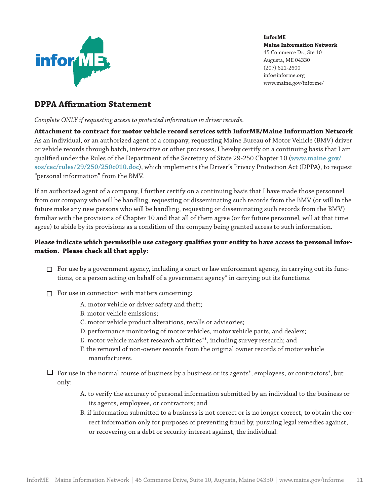

## **DPPA Affirmation Statement**

*Complete ONLY if requesting access to protected information in driver records.*

**Attachment to contract for motor vehicle record services with InforME/Maine Information Network** As an individual, or an authorized agent of a company, requesting Maine Bureau of Motor Vehicle (BMV) driver or vehicle records through batch, interactive or other processes, I hereby certify on a continuing basis that I am qualified under the Rules of the Department of the Secretary of State 29-250 Chapter 10 (**www.maine.gov/ sos/cec/rules/29/250/250c010.doc**), which implements the Driver's Privacy Protection Act (DPPA), to request "personal information" from the BMV.

If an authorized agent of a company, I further certify on a continuing basis that I have made those personnel from our company who will be handling, requesting or disseminating such records from the BMV (or will in the future make any new persons who will be handling, requesting or disseminating such records from the BMV) familiar with the provisions of Chapter 10 and that all of them agree (or for future personnel, will at that time agree) to abide by its provisions as a condition of the company being granted access to such information.

## **Please indicate which permissible use category qualifies your entity to have access to personal information. Please check all that apply:**

- $\Box$  For use by a government agency, including a court or law enforcement agency, in carrying out its functions, or a person acting on behalf of a government agency\* in carrying out its functions.
- $\Box$  For use in connection with matters concerning:
	- A. motor vehicle or driver safety and theft;
	- B. motor vehicle emissions;
	- C. motor vehicle product alterations, recalls or advisories;
	- D. performance monitoring of motor vehicles, motor vehicle parts, and dealers;
	- E. motor vehicle market research activities\*\*, including survey research; and
	- F. the removal of non-owner records from the original owner records of motor vehicle manufacturers.
- $\Box$  For use in the normal course of business by a business or its agents\*, employees, or contractors\*, but only:
	- A. to verify the accuracy of personal information submitted by an individual to the business or its agents, employees, or contractors; and
	- B. if information submitted to a business is not correct or is no longer correct, to obtain the correct information only for purposes of preventing fraud by, pursuing legal remedies against, or recovering on a debt or security interest against, the individual.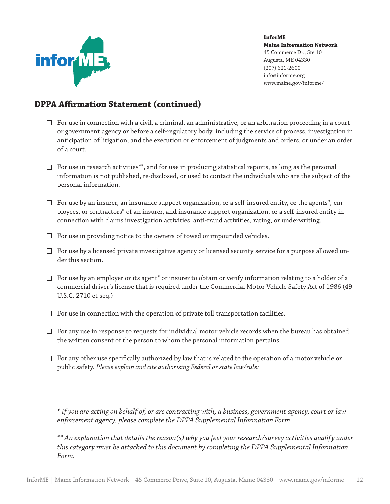

# **DPPA Affirmation Statement (continued)**

- $\Box$  For use in connection with a civil, a criminal, an administrative, or an arbitration proceeding in a court or government agency or before a self-regulatory body, including the service of process, investigation in anticipation of litigation, and the execution or enforcement of judgments and orders, or under an order of a court.
- $\Box$  For use in research activities\*\*, and for use in producing statistical reports, as long as the personal information is not published, re-disclosed, or used to contact the individuals who are the subject of the personal information.
- $\square$  For use by an insurer, an insurance support organization, or a self-insured entity, or the agents<sup>\*</sup>, employees, or contractors\* of an insurer, and insurance support organization, or a self-insured entity in connection with claims investigation activities, anti-fraud activities, rating, or underwriting.
- $\Box$  For use in providing notice to the owners of towed or impounded vehicles.
- $\Box$  For use by a licensed private investigative agency or licensed security service for a purpose allowed under this section.
- $\Box$  For use by an employer or its agent\* or insurer to obtain or verify information relating to a holder of a commercial driver's license that is required under the Commercial Motor Vehicle Safety Act of 1986 (49 U.S.C. 2710 et seq.)
- $\Box$  For use in connection with the operation of private toll transportation facilities.
- $\Box$  For any use in response to requests for individual motor vehicle records when the bureau has obtained the written consent of the person to whom the personal information pertains.
- $\Box$  For any other use specifically authorized by law that is related to the operation of a motor vehicle or public safety. *Please explain and cite authorizing Federal or state law/rule:*

*\* If you are acting on behalf of, or are contracting with, a business, government agency, court or law enforcement agency, please complete the DPPA Supplemental Information Form*

*\*\* An explanation that details the reason(s) why you feel your research/survey activities qualify under this category must be attached to this document by completing the DPPA Supplemental Information Form.*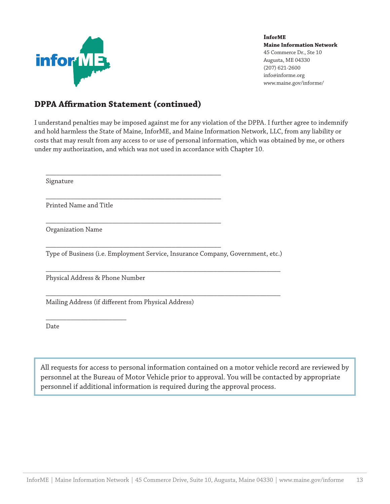

## **DPPA Affirmation Statement (continued)**

\_\_\_\_\_\_\_\_\_\_\_\_\_\_\_\_\_\_\_\_\_\_\_\_\_\_\_\_\_\_\_\_\_\_\_\_\_\_\_\_\_\_\_\_\_\_\_\_\_\_

\_\_\_\_\_\_\_\_\_\_\_\_\_\_\_\_\_\_\_\_\_\_\_\_\_\_\_\_\_\_\_\_\_\_\_\_\_\_\_\_\_\_\_\_\_\_\_\_\_\_

\_\_\_\_\_\_\_\_\_\_\_\_\_\_\_\_\_\_\_\_\_\_\_\_\_\_\_\_\_\_\_\_\_\_\_\_\_\_\_\_\_\_\_\_\_\_\_\_\_\_

\_\_\_\_\_\_\_\_\_\_\_\_\_\_\_\_\_\_\_\_\_\_\_\_\_\_\_\_\_\_\_\_\_\_\_\_\_\_\_\_\_\_\_\_\_\_\_\_\_\_

I understand penalties may be imposed against me for any violation of the DPPA. I further agree to indemnify and hold harmless the State of Maine, InforME, and Maine Information Network, LLC, from any liability or costs that may result from any access to or use of personal information, which was obtained by me, or others under my authorization, and which was not used in accordance with Chapter 10.

Signature

Printed Name and Title

Organization Name

Type of Business (i.e. Employment Service, Insurance Company, Government, etc.)

\_\_\_\_\_\_\_\_\_\_\_\_\_\_\_\_\_\_\_\_\_\_\_\_\_\_\_\_\_\_\_\_\_\_\_\_\_\_\_\_\_\_\_\_\_\_\_\_\_\_\_\_\_\_\_\_\_\_\_\_\_\_\_\_\_\_\_

\_\_\_\_\_\_\_\_\_\_\_\_\_\_\_\_\_\_\_\_\_\_\_\_\_\_\_\_\_\_\_\_\_\_\_\_\_\_\_\_\_\_\_\_\_\_\_\_\_\_\_\_\_\_\_\_\_\_\_\_\_\_\_\_\_\_\_

Physical Address & Phone Number

\_\_\_\_\_\_\_\_\_\_\_\_\_\_\_\_\_\_\_\_\_\_\_

Mailing Address (if different from Physical Address)

Date

All requests for access to personal information contained on a motor vehicle record are reviewed by personnel at the Bureau of Motor Vehicle prior to approval. You will be contacted by appropriate personnel if additional information is required during the approval process.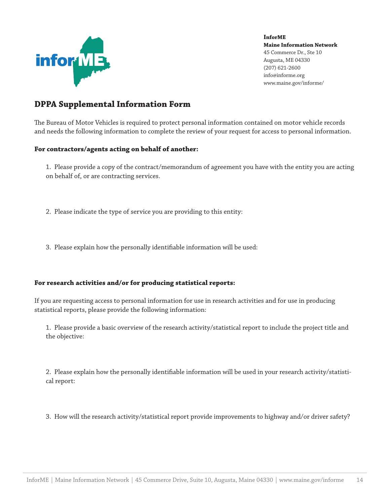

## **DPPA Supplemental Information Form**

The Bureau of Motor Vehicles is required to protect personal information contained on motor vehicle records and needs the following information to complete the review of your request for access to personal information.

#### **For contractors/agents acting on behalf of another:**

1. Please provide a copy of the contract/memorandum of agreement you have with the entity you are acting on behalf of, or are contracting services.

- 2. Please indicate the type of service you are providing to this entity:
- 3. Please explain how the personally identifiable information will be used:

#### **For research activities and/or for producing statistical reports:**

If you are requesting access to personal information for use in research activities and for use in producing statistical reports, please provide the following information:

1. Please provide a basic overview of the research activity/statistical report to include the project title and the objective:

2. Please explain how the personally identifiable information will be used in your research activity/statistical report:

3. How will the research activity/statistical report provide improvements to highway and/or driver safety?